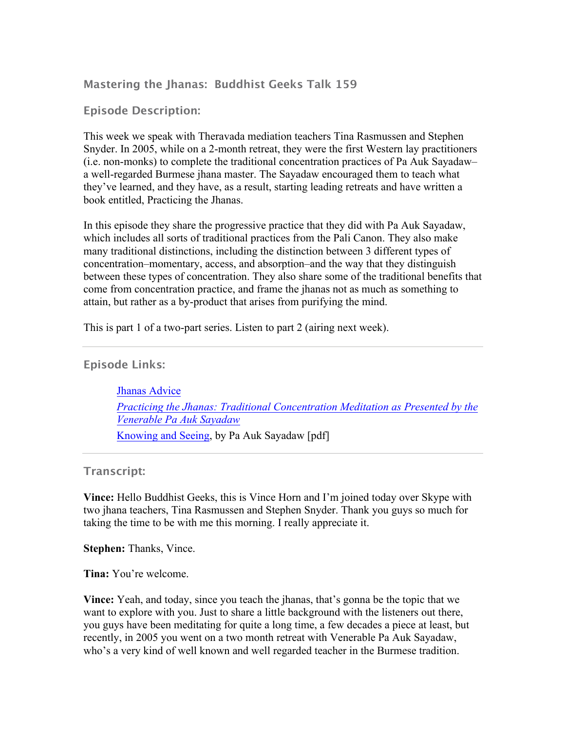# **Mastering the Jhanas: Buddhist Geeks Talk 159**

# **Episode Description:**

This week we speak with Theravada mediation teachers Tina Rasmussen and Stephen Snyder. In 2005, while on a 2-month retreat, they were the first Western lay practitioners (i.e. non-monks) to complete the traditional concentration practices of Pa Auk Sayadaw– a well-regarded Burmese jhana master. The Sayadaw encouraged them to teach what they've learned, and they have, as a result, starting leading retreats and have written a book entitled, Practicing the Jhanas.

In this episode they share the progressive practice that they did with Pa Auk Sayadaw, which includes all sorts of traditional practices from the Pali Canon. They also make many traditional distinctions, including the distinction between 3 different types of concentration–momentary, access, and absorption–and the way that they distinguish between these types of concentration. They also share some of the traditional benefits that come from concentration practice, and frame the jhanas not as much as something to attain, but rather as a by-product that arises from purifying the mind.

This is part 1 of a two-part series. Listen to part 2 (airing next week).

# **Episode Links:**

 Jhanas Advice *Practicing the Jhanas: Traditional Concentration Meditation as Presented by the Venerable Pa Auk Sayadaw* Knowing and Seeing, by Pa Auk Sayadaw [pdf]

## **Transcript:**

**Vince:** Hello Buddhist Geeks, this is Vince Horn and I'm joined today over Skype with two jhana teachers, Tina Rasmussen and Stephen Snyder. Thank you guys so much for taking the time to be with me this morning. I really appreciate it.

**Stephen:** Thanks, Vince.

**Tina:** You're welcome.

**Vince:** Yeah, and today, since you teach the jhanas, that's gonna be the topic that we want to explore with you. Just to share a little background with the listeners out there, you guys have been meditating for quite a long time, a few decades a piece at least, but recently, in 2005 you went on a two month retreat with Venerable Pa Auk Sayadaw, who's a very kind of well known and well regarded teacher in the Burmese tradition.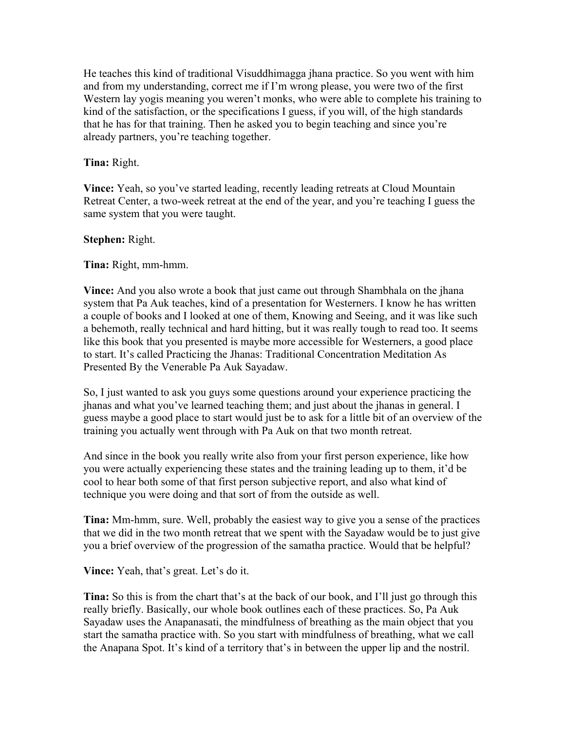He teaches this kind of traditional Visuddhimagga jhana practice. So you went with him and from my understanding, correct me if I'm wrong please, you were two of the first Western lay yogis meaning you weren't monks, who were able to complete his training to kind of the satisfaction, or the specifications I guess, if you will, of the high standards that he has for that training. Then he asked you to begin teaching and since you're already partners, you're teaching together.

#### **Tina:** Right.

**Vince:** Yeah, so you've started leading, recently leading retreats at Cloud Mountain Retreat Center, a two-week retreat at the end of the year, and you're teaching I guess the same system that you were taught.

#### **Stephen:** Right.

**Tina:** Right, mm-hmm.

**Vince:** And you also wrote a book that just came out through Shambhala on the jhana system that Pa Auk teaches, kind of a presentation for Westerners. I know he has written a couple of books and I looked at one of them, Knowing and Seeing, and it was like such a behemoth, really technical and hard hitting, but it was really tough to read too. It seems like this book that you presented is maybe more accessible for Westerners, a good place to start. It's called Practicing the Jhanas: Traditional Concentration Meditation As Presented By the Venerable Pa Auk Sayadaw.

So, I just wanted to ask you guys some questions around your experience practicing the jhanas and what you've learned teaching them; and just about the jhanas in general. I guess maybe a good place to start would just be to ask for a little bit of an overview of the training you actually went through with Pa Auk on that two month retreat.

And since in the book you really write also from your first person experience, like how you were actually experiencing these states and the training leading up to them, it'd be cool to hear both some of that first person subjective report, and also what kind of technique you were doing and that sort of from the outside as well.

**Tina:** Mm-hmm, sure. Well, probably the easiest way to give you a sense of the practices that we did in the two month retreat that we spent with the Sayadaw would be to just give you a brief overview of the progression of the samatha practice. Would that be helpful?

**Vince:** Yeah, that's great. Let's do it.

**Tina:** So this is from the chart that's at the back of our book, and I'll just go through this really briefly. Basically, our whole book outlines each of these practices. So, Pa Auk Sayadaw uses the Anapanasati, the mindfulness of breathing as the main object that you start the samatha practice with. So you start with mindfulness of breathing, what we call the Anapana Spot. It's kind of a territory that's in between the upper lip and the nostril.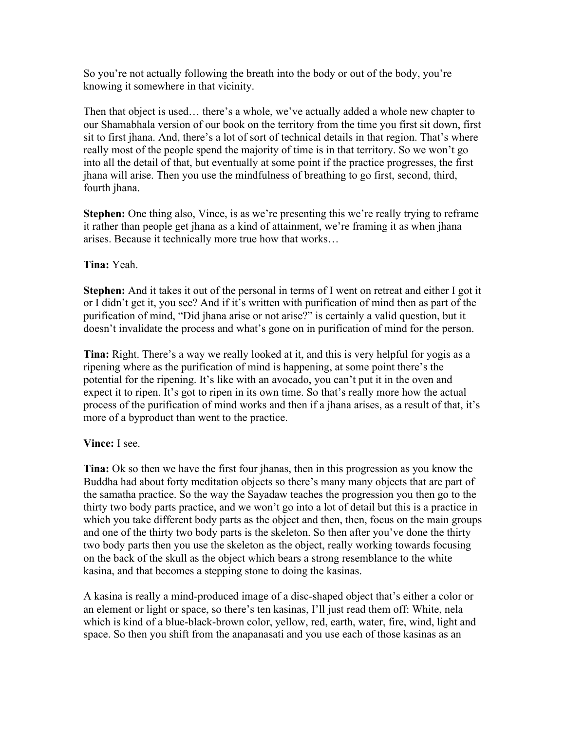So you're not actually following the breath into the body or out of the body, you're knowing it somewhere in that vicinity.

Then that object is used… there's a whole, we've actually added a whole new chapter to our Shamabhala version of our book on the territory from the time you first sit down, first sit to first jhana. And, there's a lot of sort of technical details in that region. That's where really most of the people spend the majority of time is in that territory. So we won't go into all the detail of that, but eventually at some point if the practice progresses, the first jhana will arise. Then you use the mindfulness of breathing to go first, second, third, fourth jhana.

**Stephen:** One thing also, Vince, is as we're presenting this we're really trying to reframe it rather than people get jhana as a kind of attainment, we're framing it as when jhana arises. Because it technically more true how that works…

**Tina:** Yeah.

**Stephen:** And it takes it out of the personal in terms of I went on retreat and either I got it or I didn't get it, you see? And if it's written with purification of mind then as part of the purification of mind, "Did jhana arise or not arise?" is certainly a valid question, but it doesn't invalidate the process and what's gone on in purification of mind for the person.

**Tina:** Right. There's a way we really looked at it, and this is very helpful for yogis as a ripening where as the purification of mind is happening, at some point there's the potential for the ripening. It's like with an avocado, you can't put it in the oven and expect it to ripen. It's got to ripen in its own time. So that's really more how the actual process of the purification of mind works and then if a jhana arises, as a result of that, it's more of a byproduct than went to the practice.

## **Vince:** I see.

**Tina:** Ok so then we have the first four jhanas, then in this progression as you know the Buddha had about forty meditation objects so there's many many objects that are part of the samatha practice. So the way the Sayadaw teaches the progression you then go to the thirty two body parts practice, and we won't go into a lot of detail but this is a practice in which you take different body parts as the object and then, then, focus on the main groups and one of the thirty two body parts is the skeleton. So then after you've done the thirty two body parts then you use the skeleton as the object, really working towards focusing on the back of the skull as the object which bears a strong resemblance to the white kasina, and that becomes a stepping stone to doing the kasinas.

A kasina is really a mind-produced image of a disc-shaped object that's either a color or an element or light or space, so there's ten kasinas, I'll just read them off: White, nela which is kind of a blue-black-brown color, yellow, red, earth, water, fire, wind, light and space. So then you shift from the anapanasati and you use each of those kasinas as an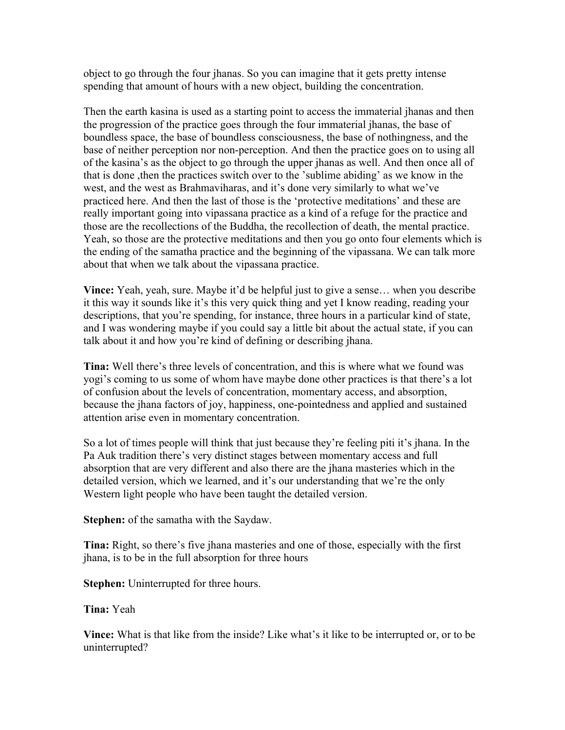object to go through the four jhanas. So you can imagine that it gets pretty intense spending that amount of hours with a new object, building the concentration.

Then the earth kasina is used as a starting point to access the immaterial jhanas and then the progression of the practice goes through the four immaterial jhanas, the base of boundless space, the base of boundless consciousness, the base of nothingness, and the base of neither perception nor non-perception. And then the practice goes on to using all of the kasina's as the object to go through the upper jhanas as well. And then once all of that is done ,then the practices switch over to the 'sublime abiding' as we know in the west, and the west as Brahmaviharas, and it's done very similarly to what we've practiced here. And then the last of those is the 'protective meditations' and these are really important going into vipassana practice as a kind of a refuge for the practice and those are the recollections of the Buddha, the recollection of death, the mental practice. Yeah, so those are the protective meditations and then you go onto four elements which is the ending of the samatha practice and the beginning of the vipassana. We can talk more about that when we talk about the vipassana practice.

**Vince:** Yeah, yeah, sure. Maybe it'd be helpful just to give a sense… when you describe it this way it sounds like it's this very quick thing and yet I know reading, reading your descriptions, that you're spending, for instance, three hours in a particular kind of state, and I was wondering maybe if you could say a little bit about the actual state, if you can talk about it and how you're kind of defining or describing jhana.

**Tina:** Well there's three levels of concentration, and this is where what we found was yogi's coming to us some of whom have maybe done other practices is that there's a lot of confusion about the levels of concentration, momentary access, and absorption, because the jhana factors of joy, happiness, one-pointedness and applied and sustained attention arise even in momentary concentration.

So a lot of times people will think that just because they're feeling piti it's jhana. In the Pa Auk tradition there's very distinct stages between momentary access and full absorption that are very different and also there are the jhana masteries which in the detailed version, which we learned, and it's our understanding that we're the only Western light people who have been taught the detailed version.

**Stephen:** of the samatha with the Saydaw.

**Tina:** Right, so there's five jhana masteries and one of those, especially with the first jhana, is to be in the full absorption for three hours

**Stephen:** Uninterrupted for three hours.

**Tina:** Yeah

**Vince:** What is that like from the inside? Like what's it like to be interrupted or, or to be uninterrupted?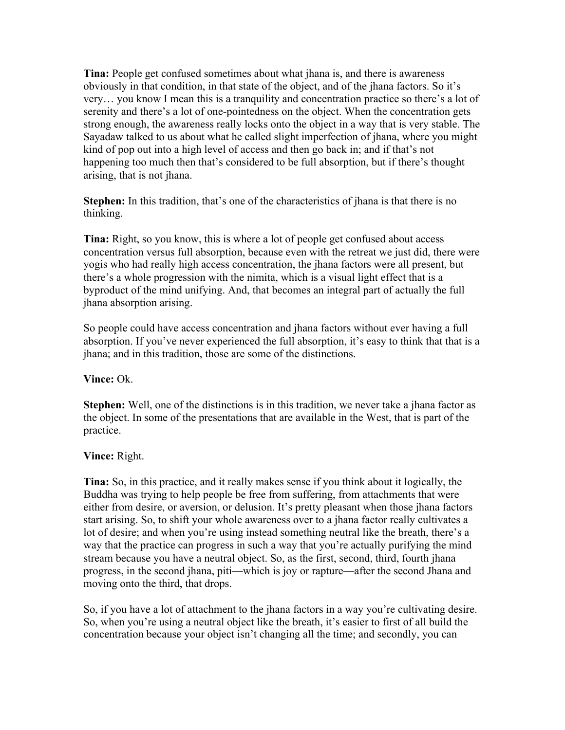**Tina:** People get confused sometimes about what jhana is, and there is awareness obviously in that condition, in that state of the object, and of the jhana factors. So it's very… you know I mean this is a tranquility and concentration practice so there's a lot of serenity and there's a lot of one-pointedness on the object. When the concentration gets strong enough, the awareness really locks onto the object in a way that is very stable. The Sayadaw talked to us about what he called slight imperfection of jhana, where you might kind of pop out into a high level of access and then go back in; and if that's not happening too much then that's considered to be full absorption, but if there's thought arising, that is not jhana.

**Stephen:** In this tradition, that's one of the characteristics of jhana is that there is no thinking.

**Tina:** Right, so you know, this is where a lot of people get confused about access concentration versus full absorption, because even with the retreat we just did, there were yogis who had really high access concentration, the jhana factors were all present, but there's a whole progression with the nimita, which is a visual light effect that is a byproduct of the mind unifying. And, that becomes an integral part of actually the full jhana absorption arising.

So people could have access concentration and jhana factors without ever having a full absorption. If you've never experienced the full absorption, it's easy to think that that is a jhana; and in this tradition, those are some of the distinctions.

**Vince:** Ok.

**Stephen:** Well, one of the distinctions is in this tradition, we never take a jhana factor as the object. In some of the presentations that are available in the West, that is part of the practice.

## **Vince:** Right.

**Tina:** So, in this practice, and it really makes sense if you think about it logically, the Buddha was trying to help people be free from suffering, from attachments that were either from desire, or aversion, or delusion. It's pretty pleasant when those jhana factors start arising. So, to shift your whole awareness over to a jhana factor really cultivates a lot of desire; and when you're using instead something neutral like the breath, there's a way that the practice can progress in such a way that you're actually purifying the mind stream because you have a neutral object. So, as the first, second, third, fourth jhana progress, in the second jhana, piti—which is joy or rapture—after the second Jhana and moving onto the third, that drops.

So, if you have a lot of attachment to the jhana factors in a way you're cultivating desire. So, when you're using a neutral object like the breath, it's easier to first of all build the concentration because your object isn't changing all the time; and secondly, you can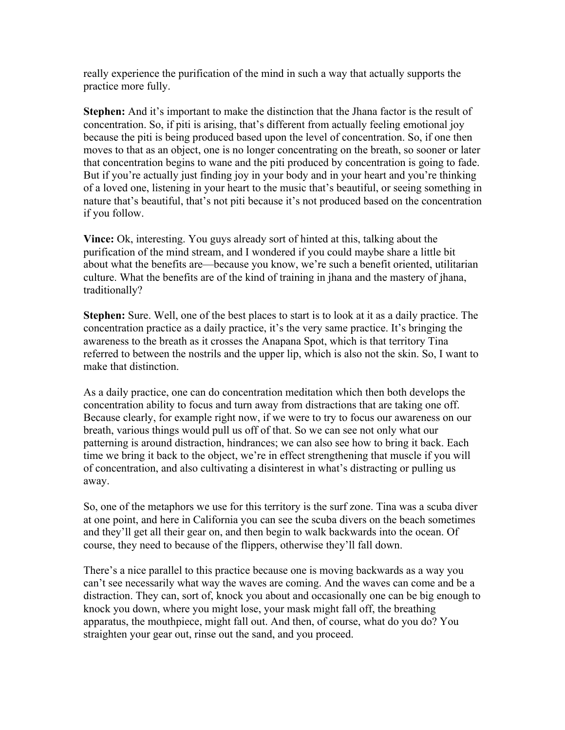really experience the purification of the mind in such a way that actually supports the practice more fully.

**Stephen:** And it's important to make the distinction that the Jhana factor is the result of concentration. So, if piti is arising, that's different from actually feeling emotional joy because the piti is being produced based upon the level of concentration. So, if one then moves to that as an object, one is no longer concentrating on the breath, so sooner or later that concentration begins to wane and the piti produced by concentration is going to fade. But if you're actually just finding joy in your body and in your heart and you're thinking of a loved one, listening in your heart to the music that's beautiful, or seeing something in nature that's beautiful, that's not piti because it's not produced based on the concentration if you follow.

**Vince:** Ok, interesting. You guys already sort of hinted at this, talking about the purification of the mind stream, and I wondered if you could maybe share a little bit about what the benefits are—because you know, we're such a benefit oriented, utilitarian culture. What the benefits are of the kind of training in jhana and the mastery of jhana, traditionally?

**Stephen:** Sure. Well, one of the best places to start is to look at it as a daily practice. The concentration practice as a daily practice, it's the very same practice. It's bringing the awareness to the breath as it crosses the Anapana Spot, which is that territory Tina referred to between the nostrils and the upper lip, which is also not the skin. So, I want to make that distinction.

As a daily practice, one can do concentration meditation which then both develops the concentration ability to focus and turn away from distractions that are taking one off. Because clearly, for example right now, if we were to try to focus our awareness on our breath, various things would pull us off of that. So we can see not only what our patterning is around distraction, hindrances; we can also see how to bring it back. Each time we bring it back to the object, we're in effect strengthening that muscle if you will of concentration, and also cultivating a disinterest in what's distracting or pulling us away.

So, one of the metaphors we use for this territory is the surf zone. Tina was a scuba diver at one point, and here in California you can see the scuba divers on the beach sometimes and they'll get all their gear on, and then begin to walk backwards into the ocean. Of course, they need to because of the flippers, otherwise they'll fall down.

There's a nice parallel to this practice because one is moving backwards as a way you can't see necessarily what way the waves are coming. And the waves can come and be a distraction. They can, sort of, knock you about and occasionally one can be big enough to knock you down, where you might lose, your mask might fall off, the breathing apparatus, the mouthpiece, might fall out. And then, of course, what do you do? You straighten your gear out, rinse out the sand, and you proceed.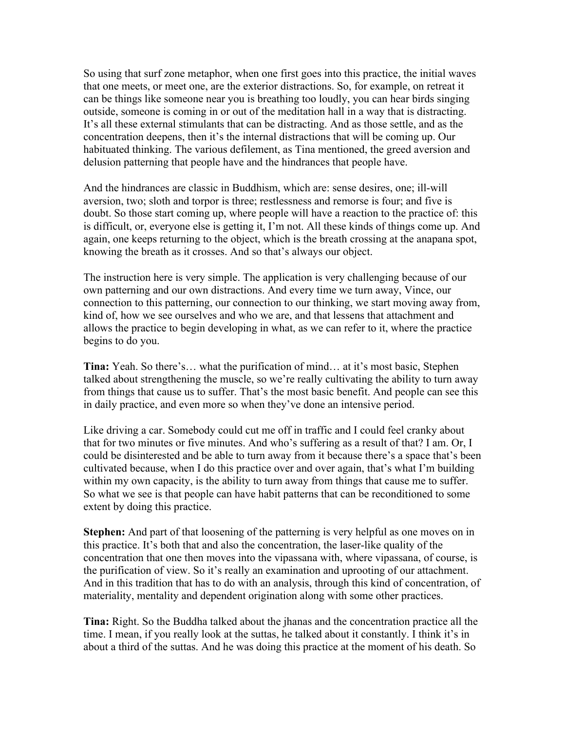So using that surf zone metaphor, when one first goes into this practice, the initial waves that one meets, or meet one, are the exterior distractions. So, for example, on retreat it can be things like someone near you is breathing too loudly, you can hear birds singing outside, someone is coming in or out of the meditation hall in a way that is distracting. It's all these external stimulants that can be distracting. And as those settle, and as the concentration deepens, then it's the internal distractions that will be coming up. Our habituated thinking. The various defilement, as Tina mentioned, the greed aversion and delusion patterning that people have and the hindrances that people have.

And the hindrances are classic in Buddhism, which are: sense desires, one; ill-will aversion, two; sloth and torpor is three; restlessness and remorse is four; and five is doubt. So those start coming up, where people will have a reaction to the practice of: this is difficult, or, everyone else is getting it, I'm not. All these kinds of things come up. And again, one keeps returning to the object, which is the breath crossing at the anapana spot, knowing the breath as it crosses. And so that's always our object.

The instruction here is very simple. The application is very challenging because of our own patterning and our own distractions. And every time we turn away, Vince, our connection to this patterning, our connection to our thinking, we start moving away from, kind of, how we see ourselves and who we are, and that lessens that attachment and allows the practice to begin developing in what, as we can refer to it, where the practice begins to do you.

**Tina:** Yeah. So there's… what the purification of mind… at it's most basic, Stephen talked about strengthening the muscle, so we're really cultivating the ability to turn away from things that cause us to suffer. That's the most basic benefit. And people can see this in daily practice, and even more so when they've done an intensive period.

Like driving a car. Somebody could cut me off in traffic and I could feel cranky about that for two minutes or five minutes. And who's suffering as a result of that? I am. Or, I could be disinterested and be able to turn away from it because there's a space that's been cultivated because, when I do this practice over and over again, that's what I'm building within my own capacity, is the ability to turn away from things that cause me to suffer. So what we see is that people can have habit patterns that can be reconditioned to some extent by doing this practice.

**Stephen:** And part of that loosening of the patterning is very helpful as one moves on in this practice. It's both that and also the concentration, the laser-like quality of the concentration that one then moves into the vipassana with, where vipassana, of course, is the purification of view. So it's really an examination and uprooting of our attachment. And in this tradition that has to do with an analysis, through this kind of concentration, of materiality, mentality and dependent origination along with some other practices.

**Tina:** Right. So the Buddha talked about the jhanas and the concentration practice all the time. I mean, if you really look at the suttas, he talked about it constantly. I think it's in about a third of the suttas. And he was doing this practice at the moment of his death. So